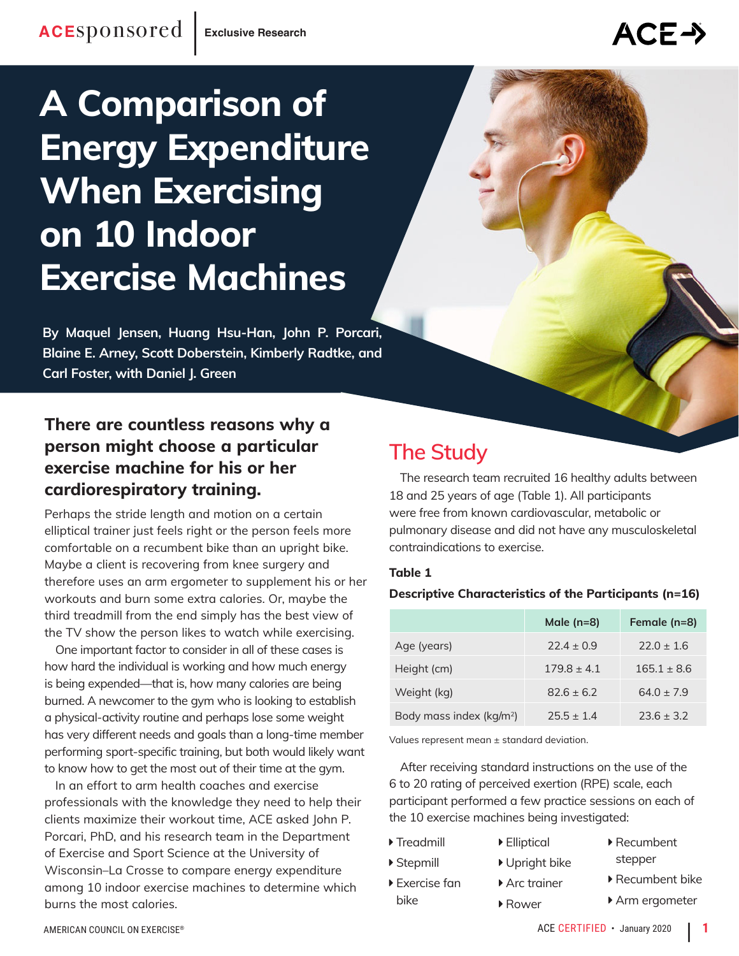# **A Comparison of Energy Expenditure When Exercising on 10 Indoor Exercise Machines**

**By Maquel Jensen, Huang Hsu-Han, John P. Porcari, Blaine E. Arney, Scott Doberstein, Kimberly Radtke, and Carl Foster, with Daniel J. Green**

### **There are countless reasons why a person might choose a particular exercise machine for his or her cardiorespiratory training.**

Perhaps the stride length and motion on a certain elliptical trainer just feels right or the person feels more comfortable on a recumbent bike than an upright bike. Maybe a client is recovering from knee surgery and therefore uses an arm ergometer to supplement his or her workouts and burn some extra calories. Or, maybe the third treadmill from the end simply has the best view of the TV show the person likes to watch while exercising.

One important factor to consider in all of these cases is how hard the individual is working and how much energy is being expended—that is, how many calories are being burned. A newcomer to the gym who is looking to establish a physical-activity routine and perhaps lose some weight has very different needs and goals than a long-time member performing sport-specific training, but both would likely want to know how to get the most out of their time at the gym.

In an effort to arm health coaches and exercise professionals with the knowledge they need to help their clients maximize their workout time, ACE asked John P. Porcari, PhD, and his research team in the Department of Exercise and Sport Science at the University of Wisconsin–La Crosse to compare energy expenditure among 10 indoor exercise machines to determine which burns the most calories.

## **The Study**

The research team recruited 16 healthy adults between 18 and 25 years of age (Table 1). All participants were free from known cardiovascular, metabolic or pulmonary disease and did not have any musculoskeletal contraindications to exercise.

#### **Table 1**

#### **Descriptive Characteristics of the Participants (n=16)**

|                                      | Male $(n=8)$  | Female (n=8)  |
|--------------------------------------|---------------|---------------|
| Age (years)                          | $72.4 + 0.9$  | $72.0 + 1.6$  |
| Height (cm)                          | $179.8 + 4.1$ | $165.1 + 8.6$ |
| Weight (kg)                          | $82.6 + 6.2$  | $64.0 + 7.9$  |
| Body mass index (kg/m <sup>2</sup> ) | $75.5 + 1.4$  | $73.6 + 3.2$  |

Values represent mean ± standard deviation.

After receiving standard instructions on the use of the 6 to 20 rating of perceived exertion (RPE) scale, each participant performed a few practice sessions on each of the 10 exercise machines being investigated:

▶ Treadmill � Stepmill

bike

- � Elliptical
- 
- 
- 
- � Upright bike
- � Exercise fan ▶ Arc trainer
	- � Rower
- ▶ Recumbent stepper
- � Recumbent bike
- ▶ Arm ergometer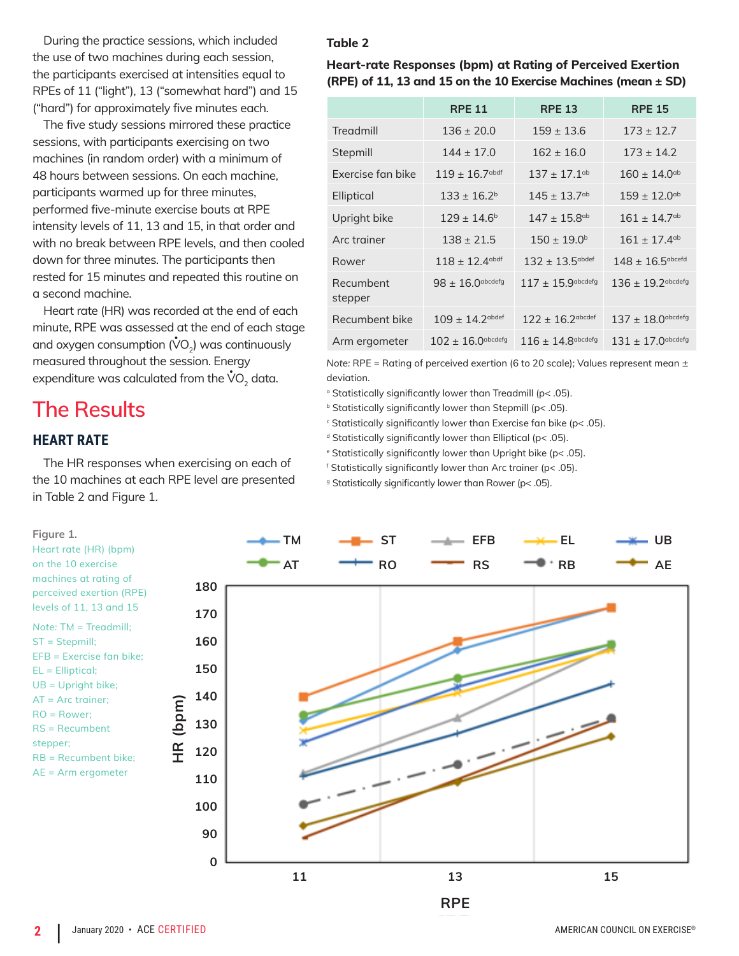During the practice sessions, which included the use of two machines during each session, the participants exercised at intensities equal to RPEs of 11 ("light"), 13 ("somewhat hard") and 15 ("hard") for approximately five minutes each.

The five study sessions mirrored these practice sessions, with participants exercising on two machines (in random order) with a minimum of 48 hours between sessions. On each machine, participants warmed up for three minutes, performed five-minute exercise bouts at RPE intensity levels of 11, 13 and 15, in that order and with no break between RPE levels, and then cooled down for three minutes. The participants then rested for 15 minutes and repeated this routine on a second machine.

Heart rate (HR) was recorded at the end of each minute, RPE was assessed at the end of each stage and oxygen consumption ( $\mathsf{\dot{V}O}_2$ ) was continuously measured throughout the session. Energy expenditure was calculated from the  $\mathsf{\dot{VO}}_2$  data.

## **The Results**

#### **HEART RATE**

The HR responses when exercising on each of the 10 machines at each RPE level are presented in Table 2 and Figure 1.

#### **Table 2**

**Heart-rate Responses (bpm) at Rating of Perceived Exertion (RPE) of 11, 13 and 15 on the 10 Exercise Machines (mean ± SD)** 

|                      | <b>RPE 11</b>                  | <b>RPE 13</b>                  | <b>RPE 15</b>                |
|----------------------|--------------------------------|--------------------------------|------------------------------|
| Treadmill            | $136 \pm 20.0$                 | $159 \pm 13.6$                 | $173 \pm 12.7$               |
| Stepmill             | $144 \pm 17.0$                 | $162 \pm 16.0$                 | $173 \pm 14.2$               |
| Exercise fan bike    | $119 \pm 16.7$ <sup>abdf</sup> | $137 \pm 17.1$ <sup>cb</sup>   | $160 \pm 14.0$ <sup>ab</sup> |
| Elliptical           | $133 \pm 16.2^b$               | $145 \pm 13.7$ <sup>ab</sup>   | $159 \pm 12.0$ <sup>ab</sup> |
| Upright bike         | $129 \pm 14.6^{\circ}$         | $147 \pm 15.8$ <sup>ab</sup>   | $161 \pm 14.7$ <sup>ab</sup> |
| Arc trainer          | $138 \pm 21.5$                 | $150 \pm 19.0^{\circ}$         | $161 \pm 17.4$ <sup>cb</sup> |
| Rower                | $118 \pm 12.4$ <sup>abdf</sup> | $132 + 13.5$ abdef             | $148 \pm 16.5$ abcefd        |
| Recumbent<br>stepper | $98 \pm 16.0$ abcdefg          | $117 + 15.9$ abcdefg           | $136 \pm 19.2$ abcdefg       |
| Recumbent bike       | $109 + 14.2$ <sup>abdef</sup>  | $122 + 16.2$ <sup>abcdef</sup> | $137 \pm 18.0$ abcdefg       |
| Arm ergometer        | $102 \pm 16.0$ abcdefg         | $116 \pm 14.8$ abcdefg         | $131 + 17.0$ abcdefg         |

*Note:* RPE = Rating of perceived exertion (6 to 20 scale); Values represent mean ± deviation.

<sup>a</sup> Statistically significantly lower than Treadmill (p< .05).

b Statistically significantly lower than Stepmill (p< .05).

 $\epsilon$  Statistically significantly lower than Exercise fan bike (p< .05).

d Statistically significantly lower than Elliptical (p< .05).

e Statistically significantly lower than Upright bike (p< .05).

f Statistically significantly lower than Arc trainer (p< .05).

<sup>g</sup> Statistically significantly lower than Rower (p< .05).

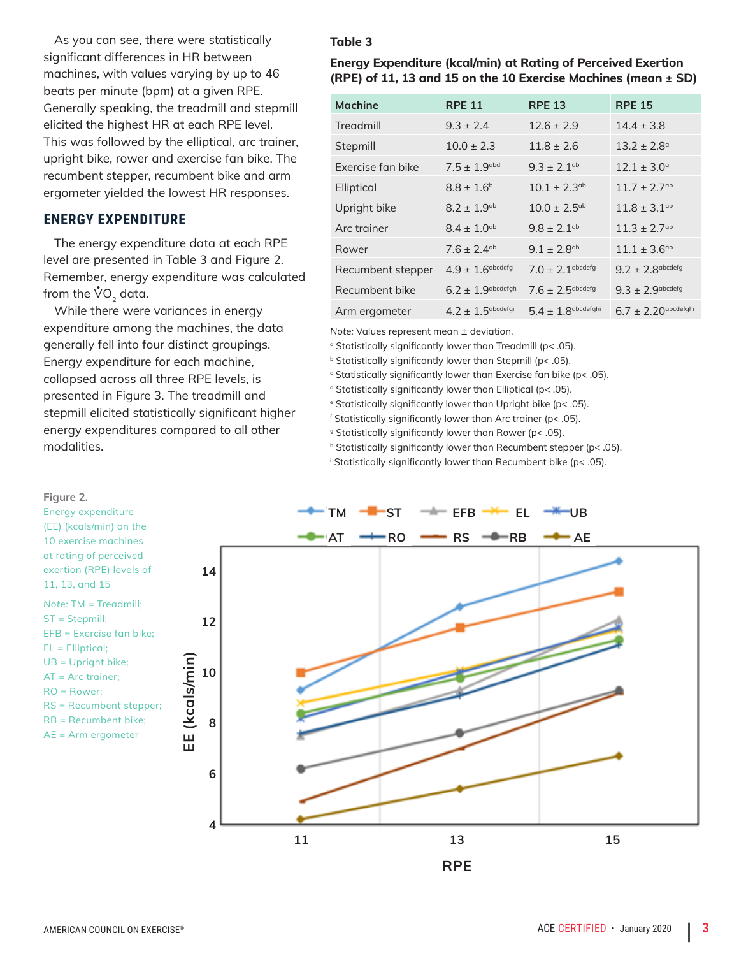As you can see, there were statistically significant differences in HR between machines, with values varying by up to 46 beats per minute (bpm) at a given RPE. Generally speaking, the treadmill and stepmill elicited the highest HR at each RPE level. This was followed by the elliptical, arc trainer, upright bike, rower and exercise fan bike. The recumbent stepper, recumbent bike and arm ergometer yielded the lowest HR responses.

#### **ENERGY EXPENDITURE**

The energy expenditure data at each RPE level are presented in Table 3 and Figure 2. Remember, energy expenditure was calculated from the  $\mathring{\mathsf{V}}\mathsf{O}_2$  data.

While there were variances in energy expenditure among the machines, the data generally fell into four distinct groupings. Energy expenditure for each machine, collapsed across all three RPE levels, is presented in Figure 3. The treadmill and stepmill elicited statistically significant higher energy expenditures compared to all other modalities.

#### **Figure 2.**  Energy expenditure TM **ST ST EFB X** EL **WUB** (EE) (kcals/min) on the AT **-RO -RS -DRB** - AE 10 exercise machines at rating of perceived exertion (RPE) levels of **14** 11, 13, and 15 *Note:* TM = Treadmill; ST = Stepmill; **12** EFB = Exercise fan bike; EL = Elliptical; **EE (kcals/min)** EE (kcals/min) UB = Upright bike; **10** AT = Arc trainer; RO = Rower; RS = Recumbent stepper; RB = Recumbent bike; **8** AE = Arm ergometer **6 4 11 13 15 RPE**

#### **Table 3**

#### **Energy Expenditure (kcal/min) at Rating of Perceived Exertion (RPE) of 11, 13 and 15 on the 10 Exercise Machines (mean ± SD)**

| <b>Machine</b>    | <b>RPE 11</b>               | <b>RPE 13</b>                | <b>RPE 15</b>                |
|-------------------|-----------------------------|------------------------------|------------------------------|
| Treadmill         | $9.3 \pm 2.4$               | $12.6 \pm 2.9$               | $14.4 \pm 3.8$               |
| Stepmill          | $10.0 \pm 2.3$              | $11.8 \pm 2.6$               | $13.2 \pm 2.8$ <sup>a</sup>  |
| Exercise fan bike | $7.5 \pm 1.9$ abd           | $9.3 \pm 2.1$ <sup>ab</sup>  | $12.1 \pm 3.0^{\circ}$       |
| Elliptical        | $8.8 \pm 1.6^{\circ}$       | $10.1 \pm 2.3$ <sup>ab</sup> | $11.7 \pm 2.7$ <sup>ab</sup> |
| Upright bike      | $8.2 \pm 1.9$ <sup>ab</sup> | $10.0 \pm 2.5$ <sup>ab</sup> | $11.8 \pm 3.1$ <sup>ab</sup> |
| Arc trainer       | $8.4 \pm 1.0$ <sup>ab</sup> | $9.8 \pm 2.1$ <sup>ab</sup>  | $11.3 \pm 2.7$ <sup>ab</sup> |
| Rower             | $7.6 \pm 2.4$ <sup>ab</sup> | $9.1 \pm 2.8$ <sup>ab</sup>  | $11.1 \pm 3.6^{ab}$          |
| Recumbent stepper | $4.9 \pm 1.6$ abcdefg       | $7.0 \pm 2.1$ abcdefg        | $9.2 \pm 2.8$ abcdefg        |
| Recumbent bike    | $6.2 \pm 1.9$ abcdefgh      | $7.6 \pm 2.5$ abcdefg        | $9.3 \pm 2.9$ abcdefg        |
| Arm ergometer     | $4.2 \pm 1.5$ abcdefgi      | $5.4 \pm 1.8$ abcdefghi      | $6.7 \pm 2.20$ abcdefghi     |

*Note:* Values represent mean ± deviation.

<sup>a</sup> Statistically significantly lower than Treadmill (p< .05).

**b** Statistically significantly lower than Stepmill (p< .05).

 $\epsilon$  Statistically significantly lower than Exercise fan bike (p< .05).

<sup>d</sup> Statistically significantly lower than Elliptical (p< .05).

e Statistically significantly lower than Upright bike (p< .05).

f Statistically significantly lower than Arc trainer (p< .05).

<sup>9</sup> Statistically significantly lower than Rower (p< .05).

h Statistically significantly lower than Recumbent stepper (p< .05).

i Statistically significantly lower than Recumbent bike (p< .05).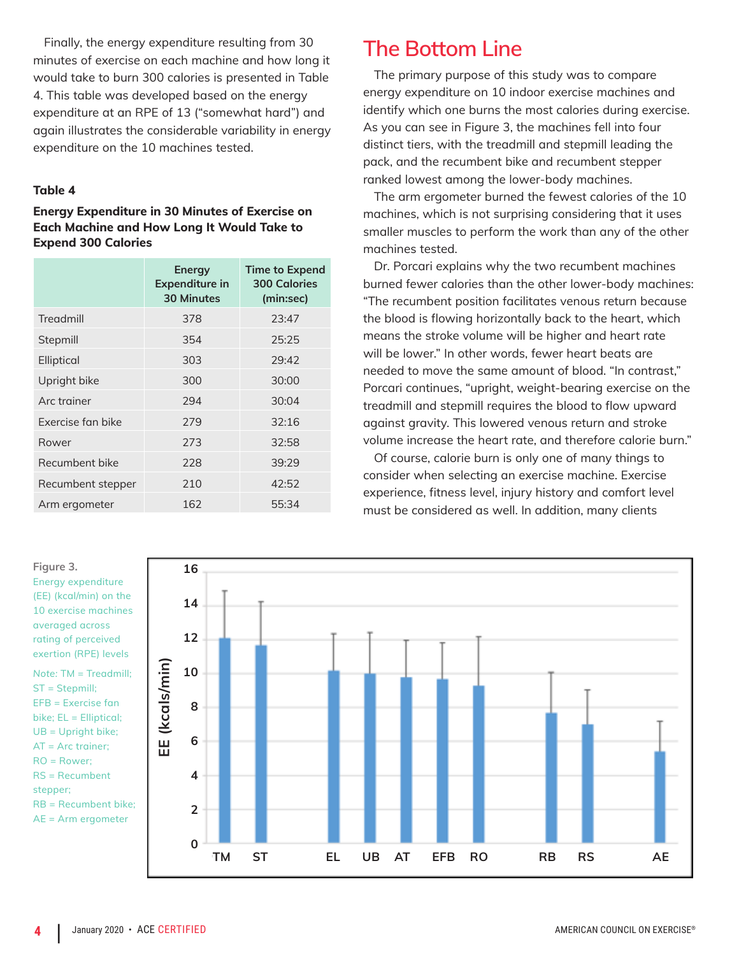Finally, the energy expenditure resulting from 30 minutes of exercise on each machine and how long it would take to burn 300 calories is presented in Table 4. This table was developed based on the energy expenditure at an RPE of 13 ("somewhat hard") and again illustrates the considerable variability in energy expenditure on the 10 machines tested.

#### **Table 4**

#### **Energy Expenditure in 30 Minutes of Exercise on Each Machine and How Long It Would Take to Expend 300 Calories**

|                   | Energy<br><b>Expenditure in</b><br><b>30 Minutes</b> | <b>Time to Expend</b><br><b>300 Calories</b><br>(min:sec) |
|-------------------|------------------------------------------------------|-----------------------------------------------------------|
| Treadmill         | 378                                                  | 23:47                                                     |
| Stepmill          | 354                                                  | 25:25                                                     |
| Elliptical        | 303                                                  | 79:47                                                     |
| Upright bike      | 300                                                  | 30:00                                                     |
| Arc trainer       | 294                                                  | 30:04                                                     |
| Exercise fan bike | 279                                                  | 32:16                                                     |
| Rower             | 273                                                  | 32:58                                                     |
| Recumbent bike    | 228                                                  | 39:29                                                     |
| Recumbent stepper | 210                                                  | 42:52                                                     |
| Arm ergometer     | 162                                                  | 55:34                                                     |

**The Bottom Line**

The primary purpose of this study was to compare energy expenditure on 10 indoor exercise machines and identify which one burns the most calories during exercise. As you can see in Figure 3, the machines fell into four distinct tiers, with the treadmill and stepmill leading the pack, and the recumbent bike and recumbent stepper ranked lowest among the lower-body machines.

The arm ergometer burned the fewest calories of the 10 machines, which is not surprising considering that it uses smaller muscles to perform the work than any of the other machines tested.

Dr. Porcari explains why the two recumbent machines burned fewer calories than the other lower-body machines: "The recumbent position facilitates venous return because the blood is flowing horizontally back to the heart, which means the stroke volume will be higher and heart rate will be lower." In other words, fewer heart beats are needed to move the same amount of blood. "In contrast," Porcari continues, "upright, weight-bearing exercise on the treadmill and stepmill requires the blood to flow upward against gravity. This lowered venous return and stroke volume increase the heart rate, and therefore calorie burn."

Of course, calorie burn is only one of many things to consider when selecting an exercise machine. Exercise experience, fitness level, injury history and comfort level must be considered as well. In addition, many clients

Energy expenditure (EE) (kcal/min) on the 10 exercise machines averaged across rating of perceived exertion (RPE) levels *Note:* TM = Treadmill; ST = Stepmill; EFB = Exercise fan bike; EL = Elliptical; UB = Upright bike; AT = Arc trainer; RO = Rower; RS = Recumbent stepper; RB = Recumbent bike; AE = Arm ergometer

**Figure 3.** 

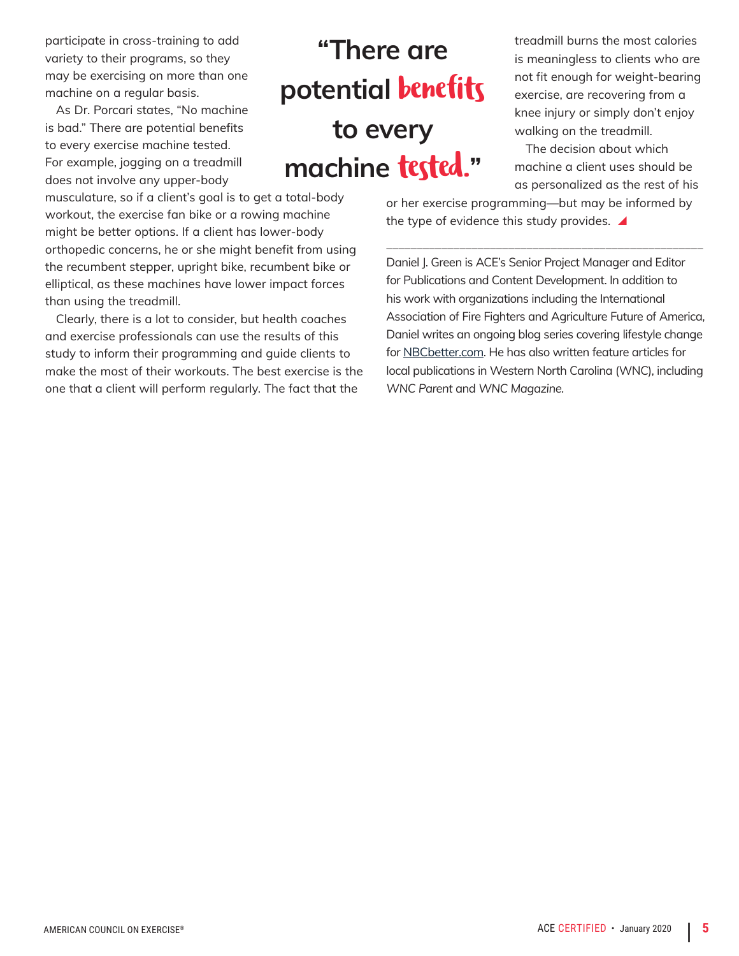participate in cross-training to add variety to their programs, so they may be exercising on more than one machine on a regular basis.

As Dr. Porcari states, "No machine is bad." There are potential benefits to every exercise machine tested. For example, jogging on a treadmill does not involve any upper-body

musculature, so if a client's goal is to get a total-body workout, the exercise fan bike or a rowing machine might be better options. If a client has lower-body orthopedic concerns, he or she might benefit from using the recumbent stepper, upright bike, recumbent bike or elliptical, as these machines have lower impact forces than using the treadmill.

Clearly, there is a lot to consider, but health coaches and exercise professionals can use the results of this study to inform their programming and guide clients to make the most of their workouts. The best exercise is the one that a client will perform regularly. The fact that the

## **"There are potential** benefits **to every machine** tested.**"**

treadmill burns the most calories is meaningless to clients who are not fit enough for weight-bearing exercise, are recovering from a knee injury or simply don't enjoy walking on the treadmill.

The decision about which machine a client uses should be as personalized as the rest of his

or her exercise programming—but may be informed by the type of evidence this study provides.  $\blacktriangle$ 

\_\_\_\_\_\_\_\_\_\_\_\_\_\_\_\_\_\_\_\_\_\_\_\_\_\_\_\_\_\_\_\_\_\_\_\_\_\_\_\_\_\_\_\_\_\_\_\_\_\_\_\_

Daniel J. Green is ACE's Senior Project Manager and Editor for Publications and Content Development. In addition to his work with organizations including the International Association of Fire Fighters and Agriculture Future of America, Daniel writes an ongoing blog series covering lifestyle change for NBCbetter.com. He has also written feature articles for local publications in Western North Carolina (WNC), including *WNC Parent* and *WNC Magazine.*